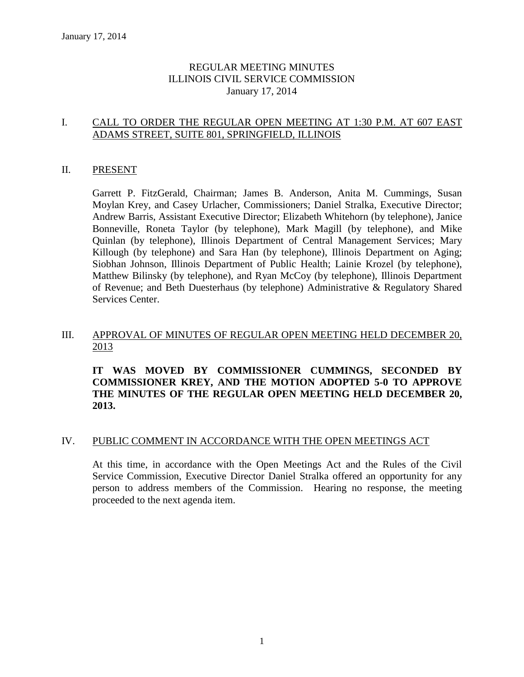## REGULAR MEETING MINUTES ILLINOIS CIVIL SERVICE COMMISSION January 17, 2014

# I. CALL TO ORDER THE REGULAR OPEN MEETING AT 1:30 P.M. AT 607 EAST ADAMS STREET, SUITE 801, SPRINGFIELD, ILLINOIS

#### II. PRESENT

Garrett P. FitzGerald, Chairman; James B. Anderson, Anita M. Cummings, Susan Moylan Krey, and Casey Urlacher, Commissioners; Daniel Stralka, Executive Director; Andrew Barris, Assistant Executive Director; Elizabeth Whitehorn (by telephone), Janice Bonneville, Roneta Taylor (by telephone), Mark Magill (by telephone), and Mike Quinlan (by telephone), Illinois Department of Central Management Services; Mary Killough (by telephone) and Sara Han (by telephone), Illinois Department on Aging; Siobhan Johnson, Illinois Department of Public Health; Lainie Krozel (by telephone), Matthew Bilinsky (by telephone), and Ryan McCoy (by telephone), Illinois Department of Revenue; and Beth Duesterhaus (by telephone) Administrative & Regulatory Shared Services Center.

# III. APPROVAL OF MINUTES OF REGULAR OPEN MEETING HELD DECEMBER 20, 2013

# **IT WAS MOVED BY COMMISSIONER CUMMINGS, SECONDED BY COMMISSIONER KREY, AND THE MOTION ADOPTED 5-0 TO APPROVE THE MINUTES OF THE REGULAR OPEN MEETING HELD DECEMBER 20, 2013.**

#### IV. PUBLIC COMMENT IN ACCORDANCE WITH THE OPEN MEETINGS ACT

At this time, in accordance with the Open Meetings Act and the Rules of the Civil Service Commission, Executive Director Daniel Stralka offered an opportunity for any person to address members of the Commission. Hearing no response, the meeting proceeded to the next agenda item.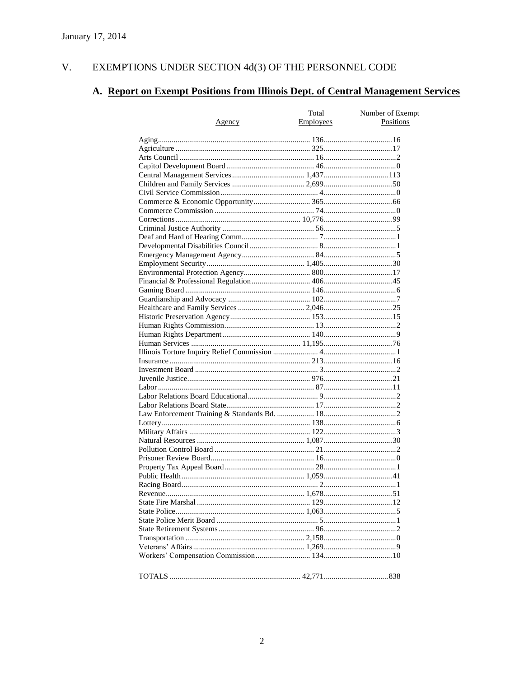#### $V<sub>r</sub>$ EXEMPTIONS UNDER SECTION 4d(3) OF THE PERSONNEL CODE

# A. Report on Exempt Positions from Illinois Dept. of Central Management Services

|               | Total     | Number of Exempt |
|---------------|-----------|------------------|
| <u>Agency</u> | Employees | Positions        |
|               |           |                  |
|               |           |                  |
|               |           |                  |
|               |           |                  |
|               |           |                  |
|               |           |                  |
|               |           |                  |
|               |           |                  |
|               |           |                  |
|               |           |                  |
|               |           |                  |
|               |           |                  |
|               |           |                  |
|               |           |                  |
|               |           |                  |
|               |           |                  |
|               |           |                  |
|               |           |                  |
|               |           |                  |
|               |           |                  |
|               |           |                  |
|               |           |                  |
|               |           |                  |
|               |           |                  |
|               |           |                  |
|               |           |                  |
|               |           |                  |
|               |           |                  |
|               |           |                  |
|               |           |                  |
|               |           |                  |
|               |           |                  |
|               |           |                  |
|               |           |                  |
|               |           |                  |
|               |           |                  |
|               |           |                  |
|               |           |                  |
|               |           |                  |
|               |           |                  |
|               |           |                  |
|               |           |                  |
|               |           |                  |
|               |           |                  |
|               |           |                  |
|               |           |                  |
|               |           |                  |
|               |           |                  |
|               |           |                  |
|               |           |                  |
|               |           |                  |
|               |           |                  |
|               |           |                  |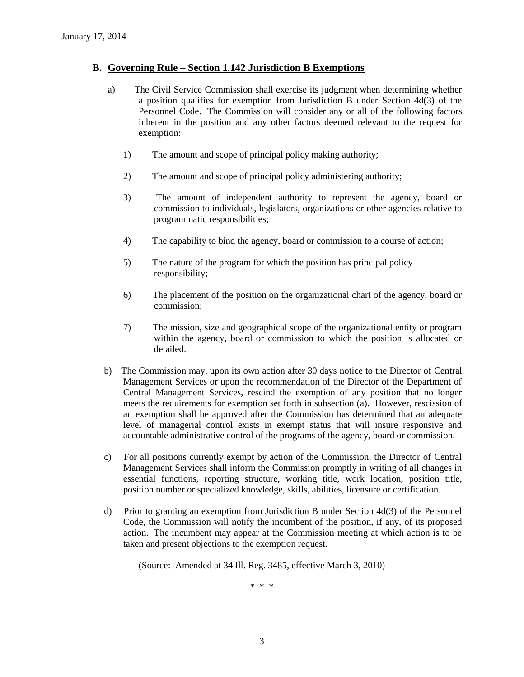#### **B. Governing Rule – Section 1.142 Jurisdiction B Exemptions**

- a) The Civil Service Commission shall exercise its judgment when determining whether a position qualifies for exemption from Jurisdiction B under Section 4d(3) of the Personnel Code. The Commission will consider any or all of the following factors inherent in the position and any other factors deemed relevant to the request for exemption:
	- 1) The amount and scope of principal policy making authority;
	- 2) The amount and scope of principal policy administering authority;
	- 3) The amount of independent authority to represent the agency, board or commission to individuals, legislators, organizations or other agencies relative to programmatic responsibilities;
	- 4) The capability to bind the agency, board or commission to a course of action;
	- 5) The nature of the program for which the position has principal policy responsibility;
	- 6) The placement of the position on the organizational chart of the agency, board or commission;
	- 7) The mission, size and geographical scope of the organizational entity or program within the agency, board or commission to which the position is allocated or detailed.
- b) The Commission may, upon its own action after 30 days notice to the Director of Central Management Services or upon the recommendation of the Director of the Department of Central Management Services, rescind the exemption of any position that no longer meets the requirements for exemption set forth in subsection (a). However, rescission of an exemption shall be approved after the Commission has determined that an adequate level of managerial control exists in exempt status that will insure responsive and accountable administrative control of the programs of the agency, board or commission.
- c) For all positions currently exempt by action of the Commission, the Director of Central Management Services shall inform the Commission promptly in writing of all changes in essential functions, reporting structure, working title, work location, position title, position number or specialized knowledge, skills, abilities, licensure or certification.
- d) Prior to granting an exemption from Jurisdiction B under Section 4d(3) of the Personnel Code, the Commission will notify the incumbent of the position, if any, of its proposed action. The incumbent may appear at the Commission meeting at which action is to be taken and present objections to the exemption request.

(Source: Amended at 34 Ill. Reg. 3485, effective March 3, 2010)

\* \* \*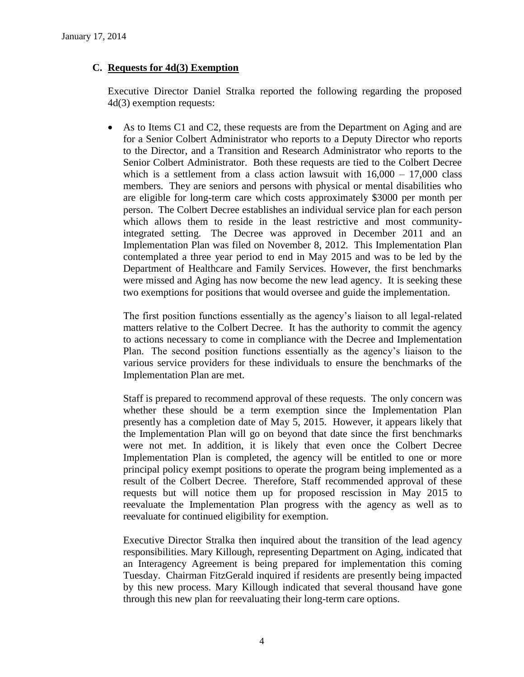# **C. Requests for 4d(3) Exemption**

Executive Director Daniel Stralka reported the following regarding the proposed 4d(3) exemption requests:

 As to Items C1 and C2, these requests are from the Department on Aging and are for a Senior Colbert Administrator who reports to a Deputy Director who reports to the Director, and a Transition and Research Administrator who reports to the Senior Colbert Administrator. Both these requests are tied to the Colbert Decree which is a settlement from a class action lawsuit with  $16,000 - 17,000$  class members. They are seniors and persons with physical or mental disabilities who are eligible for long-term care which costs approximately \$3000 per month per person. The Colbert Decree establishes an individual service plan for each person which allows them to reside in the least restrictive and most communityintegrated setting. The Decree was approved in December 2011 and an Implementation Plan was filed on November 8, 2012. This Implementation Plan contemplated a three year period to end in May 2015 and was to be led by the Department of Healthcare and Family Services. However, the first benchmarks were missed and Aging has now become the new lead agency. It is seeking these two exemptions for positions that would oversee and guide the implementation.

The first position functions essentially as the agency's liaison to all legal-related matters relative to the Colbert Decree. It has the authority to commit the agency to actions necessary to come in compliance with the Decree and Implementation Plan. The second position functions essentially as the agency's liaison to the various service providers for these individuals to ensure the benchmarks of the Implementation Plan are met.

Staff is prepared to recommend approval of these requests. The only concern was whether these should be a term exemption since the Implementation Plan presently has a completion date of May 5, 2015. However, it appears likely that the Implementation Plan will go on beyond that date since the first benchmarks were not met. In addition, it is likely that even once the Colbert Decree Implementation Plan is completed, the agency will be entitled to one or more principal policy exempt positions to operate the program being implemented as a result of the Colbert Decree. Therefore, Staff recommended approval of these requests but will notice them up for proposed rescission in May 2015 to reevaluate the Implementation Plan progress with the agency as well as to reevaluate for continued eligibility for exemption.

Executive Director Stralka then inquired about the transition of the lead agency responsibilities. Mary Killough, representing Department on Aging, indicated that an Interagency Agreement is being prepared for implementation this coming Tuesday. Chairman FitzGerald inquired if residents are presently being impacted by this new process. Mary Killough indicated that several thousand have gone through this new plan for reevaluating their long-term care options.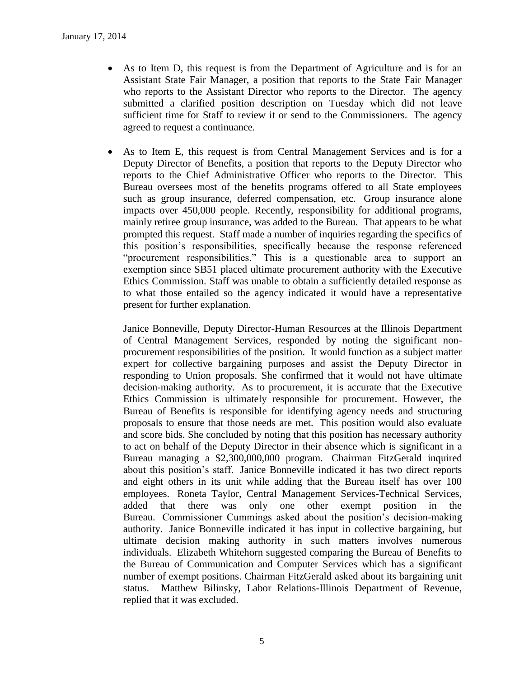- As to Item D, this request is from the Department of Agriculture and is for an Assistant State Fair Manager, a position that reports to the State Fair Manager who reports to the Assistant Director who reports to the Director. The agency submitted a clarified position description on Tuesday which did not leave sufficient time for Staff to review it or send to the Commissioners. The agency agreed to request a continuance.
- As to Item E, this request is from Central Management Services and is for a Deputy Director of Benefits, a position that reports to the Deputy Director who reports to the Chief Administrative Officer who reports to the Director. This Bureau oversees most of the benefits programs offered to all State employees such as group insurance, deferred compensation, etc. Group insurance alone impacts over 450,000 people. Recently, responsibility for additional programs, mainly retiree group insurance, was added to the Bureau. That appears to be what prompted this request. Staff made a number of inquiries regarding the specifics of this position's responsibilities, specifically because the response referenced "procurement responsibilities." This is a questionable area to support an exemption since SB51 placed ultimate procurement authority with the Executive Ethics Commission. Staff was unable to obtain a sufficiently detailed response as to what those entailed so the agency indicated it would have a representative present for further explanation.

Janice Bonneville, Deputy Director-Human Resources at the Illinois Department of Central Management Services, responded by noting the significant nonprocurement responsibilities of the position. It would function as a subject matter expert for collective bargaining purposes and assist the Deputy Director in responding to Union proposals. She confirmed that it would not have ultimate decision-making authority. As to procurement, it is accurate that the Executive Ethics Commission is ultimately responsible for procurement. However, the Bureau of Benefits is responsible for identifying agency needs and structuring proposals to ensure that those needs are met. This position would also evaluate and score bids. She concluded by noting that this position has necessary authority to act on behalf of the Deputy Director in their absence which is significant in a Bureau managing a \$2,300,000,000 program. Chairman FitzGerald inquired about this position's staff. Janice Bonneville indicated it has two direct reports and eight others in its unit while adding that the Bureau itself has over 100 employees. Roneta Taylor, Central Management Services-Technical Services, added that there was only one other exempt position in the Bureau. Commissioner Cummings asked about the position's decision-making authority. Janice Bonneville indicated it has input in collective bargaining, but ultimate decision making authority in such matters involves numerous individuals. Elizabeth Whitehorn suggested comparing the Bureau of Benefits to the Bureau of Communication and Computer Services which has a significant number of exempt positions. Chairman FitzGerald asked about its bargaining unit status. Matthew Bilinsky, Labor Relations-Illinois Department of Revenue, replied that it was excluded.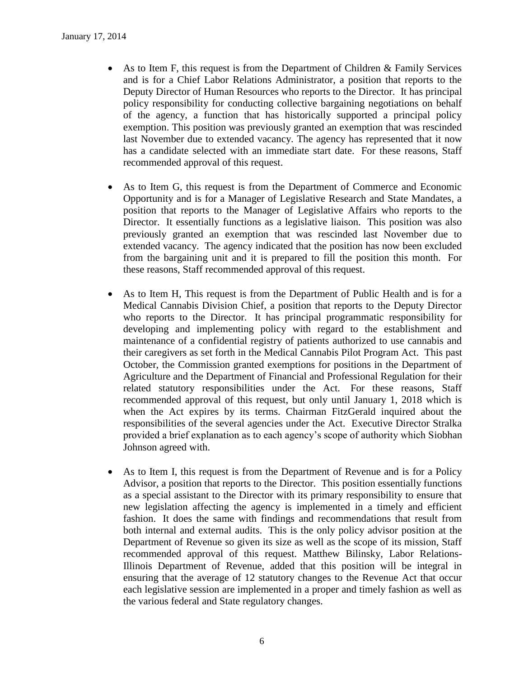- As to Item F, this request is from the Department of Children & Family Services and is for a Chief Labor Relations Administrator, a position that reports to the Deputy Director of Human Resources who reports to the Director. It has principal policy responsibility for conducting collective bargaining negotiations on behalf of the agency, a function that has historically supported a principal policy exemption. This position was previously granted an exemption that was rescinded last November due to extended vacancy. The agency has represented that it now has a candidate selected with an immediate start date. For these reasons, Staff recommended approval of this request.
- As to Item G, this request is from the Department of Commerce and Economic Opportunity and is for a Manager of Legislative Research and State Mandates, a position that reports to the Manager of Legislative Affairs who reports to the Director. It essentially functions as a legislative liaison. This position was also previously granted an exemption that was rescinded last November due to extended vacancy. The agency indicated that the position has now been excluded from the bargaining unit and it is prepared to fill the position this month. For these reasons, Staff recommended approval of this request.
- As to Item H, This request is from the Department of Public Health and is for a Medical Cannabis Division Chief, a position that reports to the Deputy Director who reports to the Director. It has principal programmatic responsibility for developing and implementing policy with regard to the establishment and maintenance of a confidential registry of patients authorized to use cannabis and their caregivers as set forth in the Medical Cannabis Pilot Program Act. This past October, the Commission granted exemptions for positions in the Department of Agriculture and the Department of Financial and Professional Regulation for their related statutory responsibilities under the Act. For these reasons, Staff recommended approval of this request, but only until January 1, 2018 which is when the Act expires by its terms. Chairman FitzGerald inquired about the responsibilities of the several agencies under the Act. Executive Director Stralka provided a brief explanation as to each agency's scope of authority which Siobhan Johnson agreed with.
- As to Item I, this request is from the Department of Revenue and is for a Policy Advisor, a position that reports to the Director. This position essentially functions as a special assistant to the Director with its primary responsibility to ensure that new legislation affecting the agency is implemented in a timely and efficient fashion. It does the same with findings and recommendations that result from both internal and external audits. This is the only policy advisor position at the Department of Revenue so given its size as well as the scope of its mission, Staff recommended approval of this request. Matthew Bilinsky, Labor Relations-Illinois Department of Revenue, added that this position will be integral in ensuring that the average of 12 statutory changes to the Revenue Act that occur each legislative session are implemented in a proper and timely fashion as well as the various federal and State regulatory changes.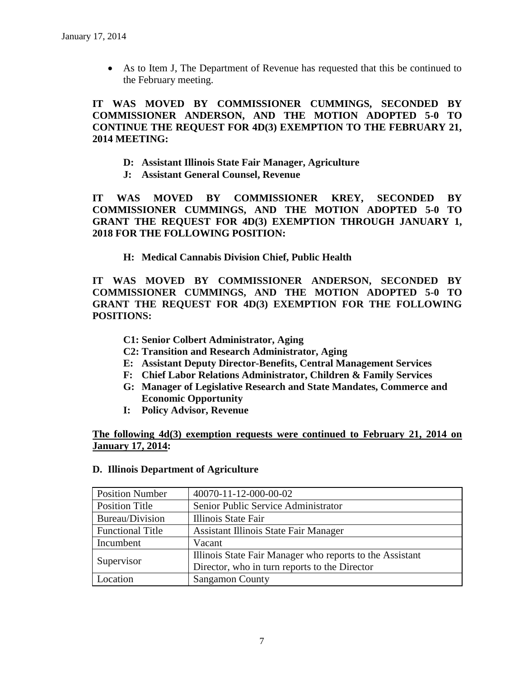As to Item J, The Department of Revenue has requested that this be continued to the February meeting.

**IT WAS MOVED BY COMMISSIONER CUMMINGS, SECONDED BY COMMISSIONER ANDERSON, AND THE MOTION ADOPTED 5-0 TO CONTINUE THE REQUEST FOR 4D(3) EXEMPTION TO THE FEBRUARY 21, 2014 MEETING:**

- **D: Assistant Illinois State Fair Manager, Agriculture**
- **J: Assistant General Counsel, Revenue**

**IT WAS MOVED BY COMMISSIONER KREY, SECONDED BY COMMISSIONER CUMMINGS, AND THE MOTION ADOPTED 5-0 TO GRANT THE REQUEST FOR 4D(3) EXEMPTION THROUGH JANUARY 1, 2018 FOR THE FOLLOWING POSITION:**

**H: Medical Cannabis Division Chief, Public Health**

**IT WAS MOVED BY COMMISSIONER ANDERSON, SECONDED BY COMMISSIONER CUMMINGS, AND THE MOTION ADOPTED 5-0 TO GRANT THE REQUEST FOR 4D(3) EXEMPTION FOR THE FOLLOWING POSITIONS:**

- **C1: Senior Colbert Administrator, Aging**
- **C2: Transition and Research Administrator, Aging**
- **E: Assistant Deputy Director-Benefits, Central Management Services**
- **F: Chief Labor Relations Administrator, Children & Family Services**
- **G: Manager of Legislative Research and State Mandates, Commerce and Economic Opportunity**
- **I: Policy Advisor, Revenue**

# **The following 4d(3) exemption requests were continued to February 21, 2014 on January 17, 2014:**

| <b>Position Number</b>  | 40070-11-12-000-00-02                                    |
|-------------------------|----------------------------------------------------------|
| <b>Position Title</b>   | Senior Public Service Administrator                      |
| Bureau/Division         | Illinois State Fair                                      |
| <b>Functional Title</b> | Assistant Illinois State Fair Manager                    |
| Incumbent               | Vacant                                                   |
| Supervisor              | Illinois State Fair Manager who reports to the Assistant |
|                         | Director, who in turn reports to the Director            |
| Location                | <b>Sangamon County</b>                                   |

#### **D. Illinois Department of Agriculture**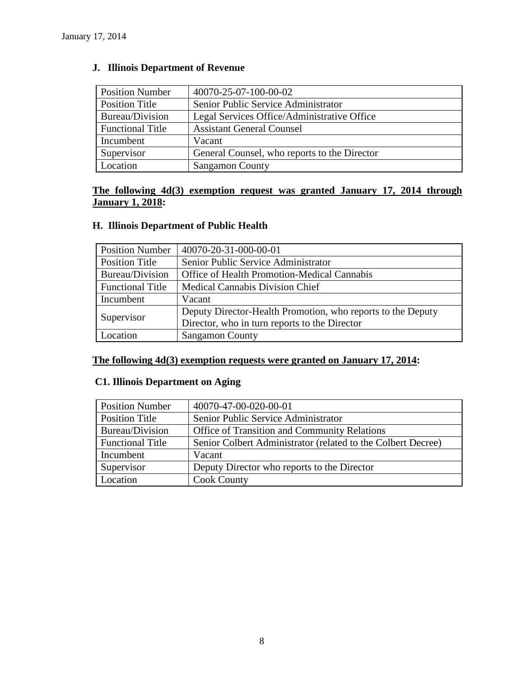| <b>Position Number</b>  | 40070-25-07-100-00-02                        |
|-------------------------|----------------------------------------------|
| <b>Position Title</b>   | Senior Public Service Administrator          |
| Bureau/Division         | Legal Services Office/Administrative Office  |
| <b>Functional Title</b> | <b>Assistant General Counsel</b>             |
| Incumbent               | Vacant                                       |
| Supervisor              | General Counsel, who reports to the Director |
| Location                | <b>Sangamon County</b>                       |

# **J. Illinois Department of Revenue**

# **The following 4d(3) exemption request was granted January 17, 2014 through January 1, 2018:**

# **H. Illinois Department of Public Health**

| <b>Position Number</b>  | 40070-20-31-000-00-01                                       |
|-------------------------|-------------------------------------------------------------|
| Position Title          | Senior Public Service Administrator                         |
| Bureau/Division         | Office of Health Promotion-Medical Cannabis                 |
| <b>Functional Title</b> | <b>Medical Cannabis Division Chief</b>                      |
| Incumbent               | Vacant                                                      |
| Supervisor              | Deputy Director-Health Promotion, who reports to the Deputy |
|                         | Director, who in turn reports to the Director               |
| Location                | <b>Sangamon County</b>                                      |

# **The following 4d(3) exemption requests were granted on January 17, 2014:**

# **C1. Illinois Department on Aging**

| <b>Position Number</b>  | 40070-47-00-020-00-01                                        |
|-------------------------|--------------------------------------------------------------|
| <b>Position Title</b>   | Senior Public Service Administrator                          |
| Bureau/Division         | <b>Office of Transition and Community Relations</b>          |
| <b>Functional Title</b> | Senior Colbert Administrator (related to the Colbert Decree) |
| Incumbent               | Vacant                                                       |
| Supervisor              | Deputy Director who reports to the Director                  |
| Location                | <b>Cook County</b>                                           |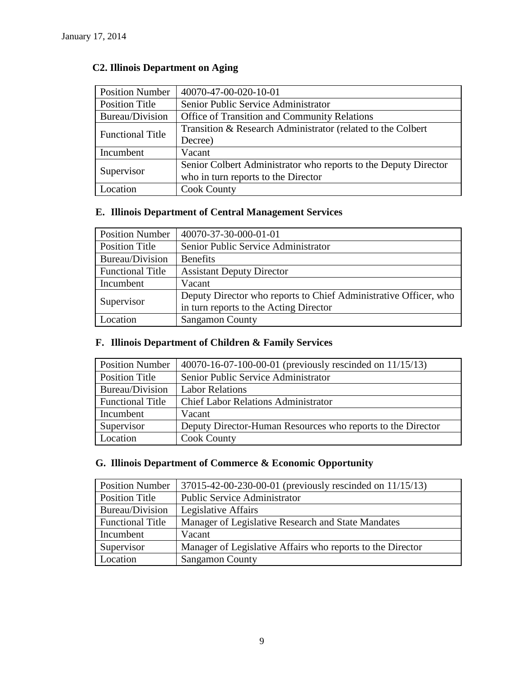| <b>Position Number</b>  | 40070-47-00-020-10-01                                           |
|-------------------------|-----------------------------------------------------------------|
| Position Title          | Senior Public Service Administrator                             |
| Bureau/Division         | Office of Transition and Community Relations                    |
| <b>Functional Title</b> | Transition & Research Administrator (related to the Colbert     |
|                         | Decree)                                                         |
| Incumbent               | Vacant                                                          |
| Supervisor              | Senior Colbert Administrator who reports to the Deputy Director |
|                         | who in turn reports to the Director                             |
| Location                | <b>Cook County</b>                                              |

# **C2. Illinois Department on Aging**

# **E. Illinois Department of Central Management Services**

| <b>Position Number</b>  | 40070-37-30-000-01-01                                            |
|-------------------------|------------------------------------------------------------------|
| Position Title          | Senior Public Service Administrator                              |
| Bureau/Division         | <b>Benefits</b>                                                  |
| <b>Functional Title</b> | <b>Assistant Deputy Director</b>                                 |
| Incumbent               | Vacant                                                           |
| Supervisor              | Deputy Director who reports to Chief Administrative Officer, who |
|                         | in turn reports to the Acting Director                           |
| Location                | <b>Sangamon County</b>                                           |

# **F. Illinois Department of Children & Family Services**

| <b>Position Number</b>  | 40070-16-07-100-00-01 (previously rescinded on $11/15/13$ ) |
|-------------------------|-------------------------------------------------------------|
| <b>Position Title</b>   | Senior Public Service Administrator                         |
| Bureau/Division         | <b>Labor Relations</b>                                      |
| <b>Functional Title</b> | <b>Chief Labor Relations Administrator</b>                  |
| Incumbent               | Vacant                                                      |
| Supervisor              | Deputy Director-Human Resources who reports to the Director |
| Location                | <b>Cook County</b>                                          |

# **G. Illinois Department of Commerce & Economic Opportunity**

| <b>Position Number</b>  | 37015-42-00-230-00-01 (previously rescinded on 11/15/13)   |
|-------------------------|------------------------------------------------------------|
| Position Title          | <b>Public Service Administrator</b>                        |
| Bureau/Division         | Legislative Affairs                                        |
| <b>Functional Title</b> | Manager of Legislative Research and State Mandates         |
| Incumbent               | Vacant                                                     |
| Supervisor              | Manager of Legislative Affairs who reports to the Director |
| Location                | <b>Sangamon County</b>                                     |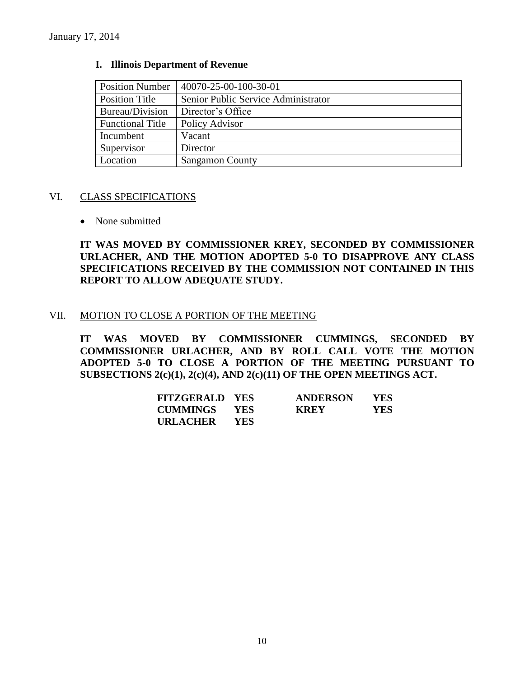| <b>Position Number</b>  | 40070-25-00-100-30-01               |
|-------------------------|-------------------------------------|
| <b>Position Title</b>   | Senior Public Service Administrator |
| Bureau/Division         | Director's Office                   |
| <b>Functional Title</b> | Policy Advisor                      |
| Incumbent               | Vacant                              |
| Supervisor              | Director                            |
| Location                | <b>Sangamon County</b>              |

#### **I. Illinois Department of Revenue**

#### VI. CLASS SPECIFICATIONS

• None submitted

**IT WAS MOVED BY COMMISSIONER KREY, SECONDED BY COMMISSIONER URLACHER, AND THE MOTION ADOPTED 5-0 TO DISAPPROVE ANY CLASS SPECIFICATIONS RECEIVED BY THE COMMISSION NOT CONTAINED IN THIS REPORT TO ALLOW ADEQUATE STUDY.** 

#### VII. MOTION TO CLOSE A PORTION OF THE MEETING

**IT WAS MOVED BY COMMISSIONER CUMMINGS, SECONDED BY COMMISSIONER URLACHER, AND BY ROLL CALL VOTE THE MOTION ADOPTED 5-0 TO CLOSE A PORTION OF THE MEETING PURSUANT TO SUBSECTIONS 2(c)(1), 2(c)(4), AND 2(c)(11) OF THE OPEN MEETINGS ACT.**

| FITZGERALD YES      |       | <b>ANDERSON</b> | <b>YES</b> |
|---------------------|-------|-----------------|------------|
| <b>CUMMINGS YES</b> |       | <b>KREY</b>     | YES.       |
| <b>URLACHER</b>     | - YES |                 |            |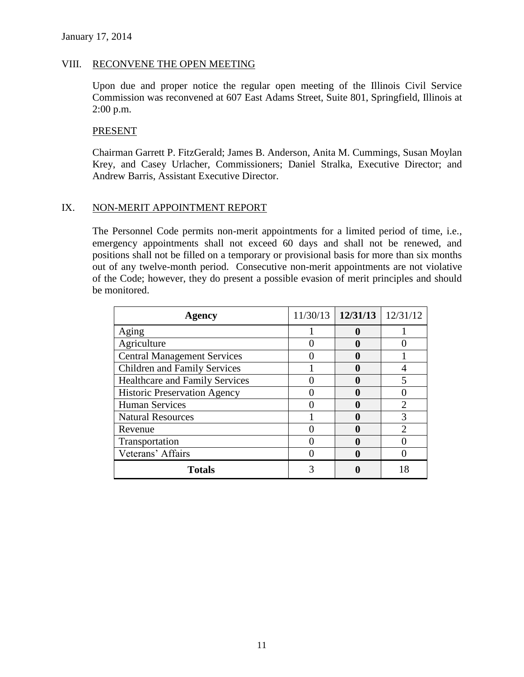### VIII. RECONVENE THE OPEN MEETING

Upon due and proper notice the regular open meeting of the Illinois Civil Service Commission was reconvened at 607 East Adams Street, Suite 801, Springfield, Illinois at 2:00 p.m.

#### PRESENT

Chairman Garrett P. FitzGerald; James B. Anderson, Anita M. Cummings, Susan Moylan Krey, and Casey Urlacher, Commissioners; Daniel Stralka, Executive Director; and Andrew Barris, Assistant Executive Director.

# IX. NON-MERIT APPOINTMENT REPORT

The Personnel Code permits non-merit appointments for a limited period of time, i.e., emergency appointments shall not exceed 60 days and shall not be renewed, and positions shall not be filled on a temporary or provisional basis for more than six months out of any twelve-month period. Consecutive non-merit appointments are not violative of the Code; however, they do present a possible evasion of merit principles and should be monitored.

| <b>Agency</b>                       | $11/30/13$   $12/31/13$   $12/31/12$ |   |
|-------------------------------------|--------------------------------------|---|
| Aging                               |                                      |   |
| Agriculture                         | a                                    |   |
| <b>Central Management Services</b>  |                                      |   |
| <b>Children and Family Services</b> |                                      |   |
| Healthcare and Family Services      | a                                    |   |
| <b>Historic Preservation Agency</b> |                                      |   |
| <b>Human Services</b>               |                                      |   |
| <b>Natural Resources</b>            |                                      | 3 |
| Revenue                             |                                      |   |
| Transportation                      |                                      |   |
| Veterans' Affairs                   |                                      |   |
| <b>Totals</b>                       |                                      |   |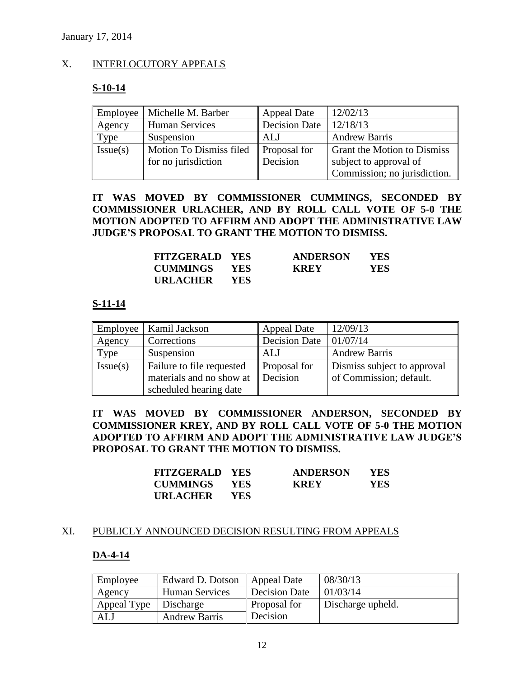# X. INTERLOCUTORY APPEALS

# **S-10-14**

| Employee | Michelle M. Barber      | Appeal Date   | 12/02/13                     |
|----------|-------------------------|---------------|------------------------------|
| Agency   | <b>Human Services</b>   | Decision Date | 12/18/13                     |
| Type     | Suspension              | ALJ           | <b>Andrew Barris</b>         |
| Issue(s) | Motion To Dismiss filed | Proposal for  | Grant the Motion to Dismiss  |
|          | for no jurisdiction     | Decision      | subject to approval of       |
|          |                         |               | Commission; no jurisdiction. |

# **IT WAS MOVED BY COMMISSIONER CUMMINGS, SECONDED BY COMMISSIONER URLACHER, AND BY ROLL CALL VOTE OF 5-0 THE MOTION ADOPTED TO AFFIRM AND ADOPT THE ADMINISTRATIVE LAW JUDGE'S PROPOSAL TO GRANT THE MOTION TO DISMISS.**

| <b>FITZGERALD YES</b> |            | <b>ANDERSON</b> | <b>YES</b> |
|-----------------------|------------|-----------------|------------|
| <b>CUMMINGS YES</b>   |            | <b>KREY</b>     | YES        |
| <b>URLACHER</b>       | <b>YES</b> |                 |            |

# **S-11-14**

| Employee | Kamil Jackson             | <b>Appeal Date</b>   | 12/09/13                    |
|----------|---------------------------|----------------------|-----------------------------|
| Agency   | Corrections               | <b>Decision Date</b> | 01/07/14                    |
| Type     | Suspension                | ALJ                  | <b>Andrew Barris</b>        |
| Issue(s) | Failure to file requested | Proposal for         | Dismiss subject to approval |
|          | materials and no show at  | Decision             | of Commission; default.     |
|          | scheduled hearing date    |                      |                             |

**IT WAS MOVED BY COMMISSIONER ANDERSON, SECONDED BY COMMISSIONER KREY, AND BY ROLL CALL VOTE OF 5-0 THE MOTION ADOPTED TO AFFIRM AND ADOPT THE ADMINISTRATIVE LAW JUDGE'S PROPOSAL TO GRANT THE MOTION TO DISMISS.**

| <b>FITZGERALD YES</b> |            | <b>ANDERSON</b> | <b>YES</b> |
|-----------------------|------------|-----------------|------------|
| <b>CUMMINGS YES</b>   |            | <b>KREY</b>     | YES.       |
| <b>URLACHER</b>       | <b>YES</b> |                 |            |

#### XI. PUBLICLY ANNOUNCED DECISION RESULTING FROM APPEALS

# **DA-4-14**

| Employee    | Edward D. Dotson      | Appeal Date   | 08/30/13          |
|-------------|-----------------------|---------------|-------------------|
| Agency      | <b>Human Services</b> | Decision Date | 01/03/14          |
| Appeal Type | Discharge             | Proposal for  | Discharge upheld. |
| ALJ         | <b>Andrew Barris</b>  | Decision      |                   |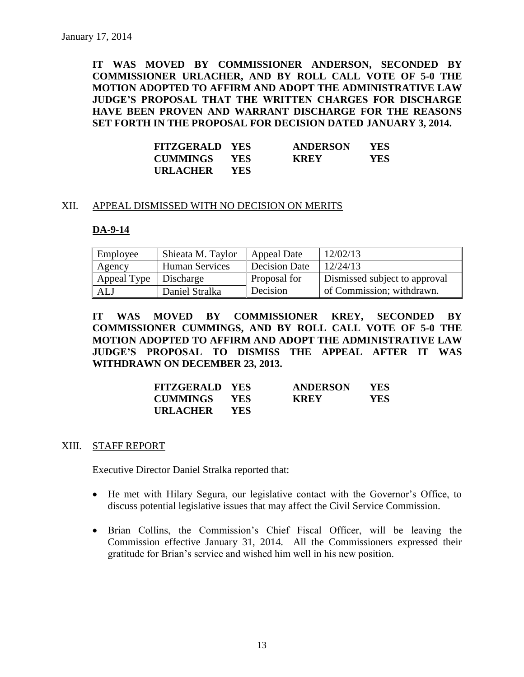**IT WAS MOVED BY COMMISSIONER ANDERSON, SECONDED BY COMMISSIONER URLACHER, AND BY ROLL CALL VOTE OF 5-0 THE MOTION ADOPTED TO AFFIRM AND ADOPT THE ADMINISTRATIVE LAW JUDGE'S PROPOSAL THAT THE WRITTEN CHARGES FOR DISCHARGE HAVE BEEN PROVEN AND WARRANT DISCHARGE FOR THE REASONS SET FORTH IN THE PROPOSAL FOR DECISION DATED JANUARY 3, 2014.**

| <b>FITZGERALD YES</b> |            | <b>ANDERSON</b> | <b>YES</b> |
|-----------------------|------------|-----------------|------------|
| <b>CUMMINGS YES</b>   |            | <b>KREY</b>     | <b>YES</b> |
| <b>URLACHER</b>       | <b>YES</b> |                 |            |

#### XII. APPEAL DISMISSED WITH NO DECISION ON MERITS

#### **DA-9-14**

| Employee    | Shieata M. Taylor     | Appeal Date          | 12/02/13                      |
|-------------|-----------------------|----------------------|-------------------------------|
| Agency      | <b>Human Services</b> | <b>Decision Date</b> | 12/24/13                      |
| Appeal Type | Discharge             | Proposal for         | Dismissed subject to approval |
| ALJ         | Daniel Stralka        | Decision             | of Commission; withdrawn.     |

**IT WAS MOVED BY COMMISSIONER KREY, SECONDED BY COMMISSIONER CUMMINGS, AND BY ROLL CALL VOTE OF 5-0 THE MOTION ADOPTED TO AFFIRM AND ADOPT THE ADMINISTRATIVE LAW JUDGE'S PROPOSAL TO DISMISS THE APPEAL AFTER IT WAS WITHDRAWN ON DECEMBER 23, 2013.**

| <b>FITZGERALD YES</b> |            | <b>ANDERSON</b> | YES. |
|-----------------------|------------|-----------------|------|
| <b>CUMMINGS</b>       | <b>YES</b> | <b>KREY</b>     | YES  |
| URLACHER              | <b>YES</b> |                 |      |

#### XIII. STAFF REPORT

Executive Director Daniel Stralka reported that:

- He met with Hilary Segura, our legislative contact with the Governor's Office, to discuss potential legislative issues that may affect the Civil Service Commission.
- Brian Collins, the Commission's Chief Fiscal Officer, will be leaving the Commission effective January 31, 2014. All the Commissioners expressed their gratitude for Brian's service and wished him well in his new position.